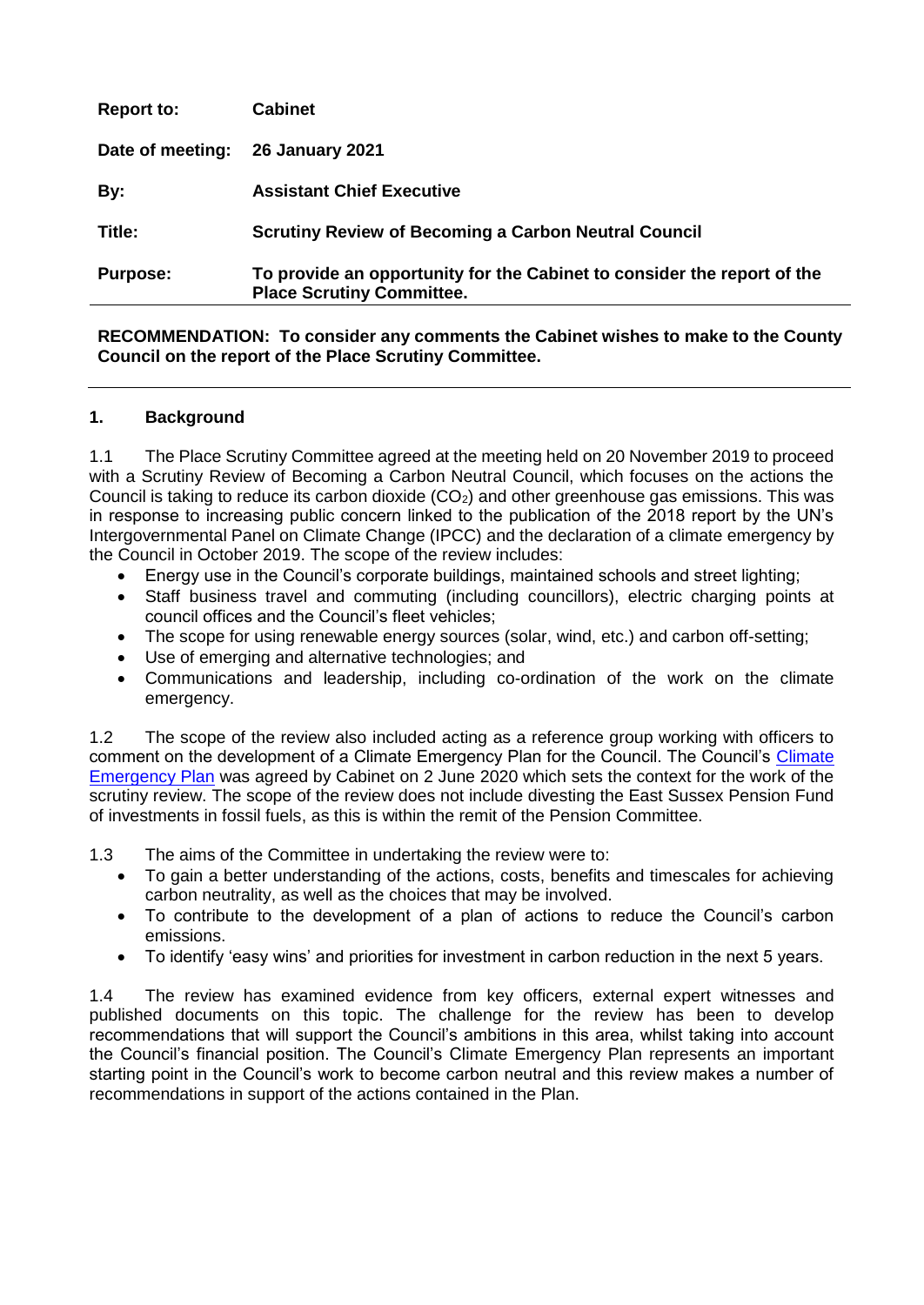| <b>Purpose:</b>   | To provide an opportunity for the Cabinet to consider the report of the<br><b>Place Scrutiny Committee.</b> |
|-------------------|-------------------------------------------------------------------------------------------------------------|
| Title:            | <b>Scrutiny Review of Becoming a Carbon Neutral Council</b>                                                 |
| By:               | <b>Assistant Chief Executive</b>                                                                            |
| Date of meeting:  | <b>26 January 2021</b>                                                                                      |
| <b>Report to:</b> | <b>Cabinet</b>                                                                                              |

### **RECOMMENDATION: To consider any comments the Cabinet wishes to make to the County Council on the report of the Place Scrutiny Committee.**

### **1. Background**

1.1 The Place Scrutiny Committee agreed at the meeting held on 20 November 2019 to proceed with a Scrutiny Review of Becoming a Carbon Neutral Council, which focuses on the actions the Council is taking to reduce its carbon dioxide  $(CO<sub>2</sub>)$  and other greenhouse gas emissions. This was in response to increasing public concern linked to the publication of the 2018 report by the UN's Intergovernmental Panel on Climate Change (IPCC) and the declaration of a climate emergency by the Council in October 2019. The scope of the review includes:

- Energy use in the Council's corporate buildings, maintained schools and street lighting;
- Staff business travel and commuting (including councillors), electric charging points at council offices and the Council's fleet vehicles;
- The scope for using renewable energy sources (solar, wind, etc.) and carbon off-setting;
- Use of emerging and alternative technologies; and
- Communications and leadership, including co-ordination of the work on the climate emergency.

1.2 The scope of the review also included acting as a reference group working with officers to comment on the development of a [Climate](https://democracy.eastsussex.gov.uk/ieListDocuments.aspx?CId=133&MId=4361&Ver=4) Emergency Plan for the Council. The Council's Climate [Emergency Plan](https://democracy.eastsussex.gov.uk/ieListDocuments.aspx?CId=133&MId=4361&Ver=4) was agreed by Cabinet on 2 June 2020 which sets the context for the work of the scrutiny review. The scope of the review does not include divesting the East Sussex Pension Fund of investments in fossil fuels, as this is within the remit of the Pension Committee.

1.3 The aims of the Committee in undertaking the review were to:

- To gain a better understanding of the actions, costs, benefits and timescales for achieving carbon neutrality, as well as the choices that may be involved.
- To contribute to the development of a plan of actions to reduce the Council's carbon emissions.
- To identify 'easy wins' and priorities for investment in carbon reduction in the next 5 years.

1.4 The review has examined evidence from key officers, external expert witnesses and published documents on this topic. The challenge for the review has been to develop recommendations that will support the Council's ambitions in this area, whilst taking into account the Council's financial position. The Council's Climate Emergency Plan represents an important starting point in the Council's work to become carbon neutral and this review makes a number of recommendations in support of the actions contained in the Plan.